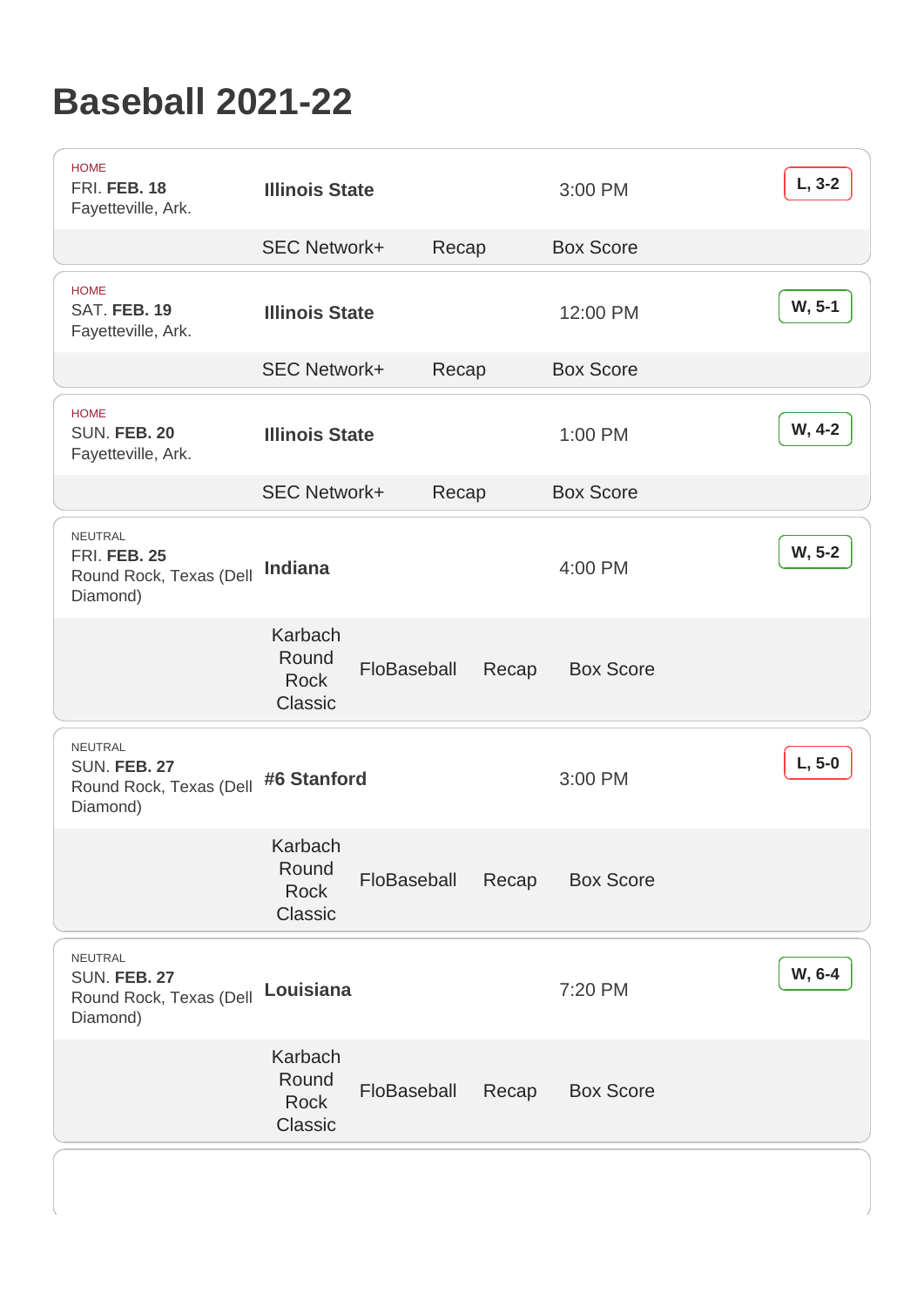## Baseball 2021-22

| <b>HOME</b><br>FRI. FEB. 18<br>Fayetteville, Ark.                     | <b>Illinois State</b>                      |             |       |       | 3:00 PM          | $L, 3-2$ |
|-----------------------------------------------------------------------|--------------------------------------------|-------------|-------|-------|------------------|----------|
|                                                                       | <b>SEC Network+</b>                        |             | Recap |       | <b>Box Score</b> |          |
| <b>HOME</b><br>SAT. FEB. 19<br>Fayetteville, Ark.                     | <b>Illinois State</b>                      |             |       |       | 12:00 PM         | W, 5-1   |
|                                                                       | <b>SEC Network+</b>                        |             | Recap |       | <b>Box Score</b> |          |
| <b>HOME</b><br>SUN. FEB. 20<br>Fayetteville, Ark.                     | <b>Illinois State</b>                      |             |       |       | 1:00 PM          | W, 4-2   |
|                                                                       | <b>SEC Network+</b>                        |             | Recap |       | <b>Box Score</b> |          |
| NEUTRAL<br><b>FRI. FEB. 25</b><br>Round Rock, Texas (Dell<br>Diamond) | Indiana                                    |             |       |       | 4:00 PM          | W, 5-2   |
|                                                                       | Karbach<br>Round<br><b>Rock</b><br>Classic | FloBaseball |       | Recap | <b>Box Score</b> |          |
| NEUTRAL<br><b>SUN. FEB. 27</b><br>Round Rock, Texas (Dell<br>Diamond) | #6 Stanford                                |             |       |       | 3:00 PM          | $L, 5-0$ |
|                                                                       | Karbach<br>Round<br><b>Rock</b><br>Classic | FloBaseball |       | Recap | <b>Box Score</b> |          |
| NEUTRAL<br>SUN. FEB. 27<br>Round Rock, Texas (Dell<br>Diamond)        | Louisiana                                  |             |       |       | 7:20 PM          | W, 6-4   |
|                                                                       | Karbach<br>Round<br><b>Rock</b><br>Classic | FloBaseball |       | Recap | <b>Box Score</b> |          |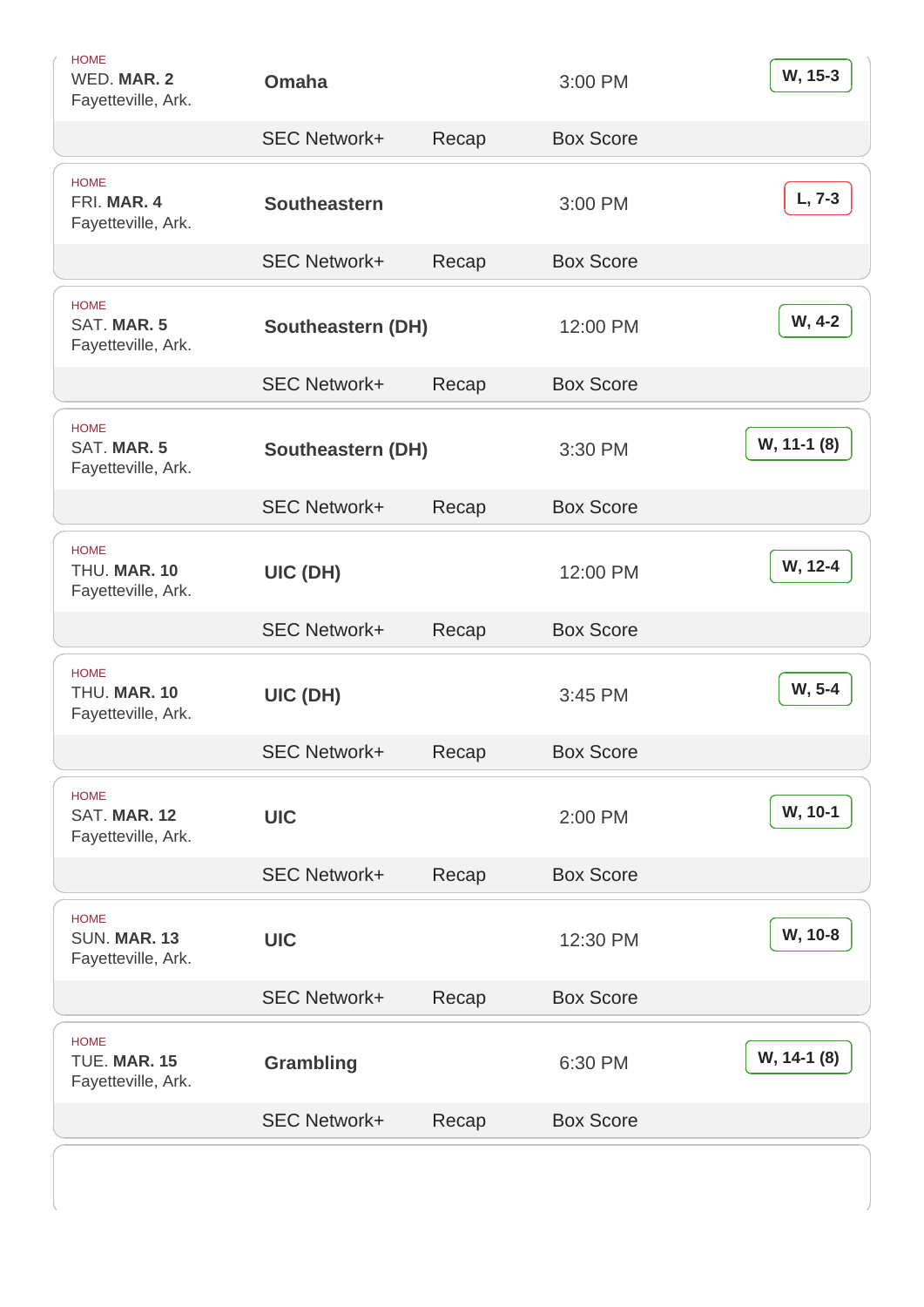| <b>HOME</b><br>WED. MAR. 2<br>Fayetteville, Ark.  | Omaha               |       | 3:00 PM          | W, 15-3     |
|---------------------------------------------------|---------------------|-------|------------------|-------------|
|                                                   | <b>SEC Network+</b> | Recap | <b>Box Score</b> |             |
| <b>HOME</b><br>FRI. MAR. 4<br>Fayetteville, Ark.  | Southeastern        |       | 3:00 PM          | $L, 7-3$    |
|                                                   | <b>SEC Network+</b> | Recap | <b>Box Score</b> |             |
| <b>HOME</b><br>SAT. MAR. 5<br>Fayetteville, Ark.  | Southeastern (DH)   |       | 12:00 PM         | W, 4-2      |
|                                                   | <b>SEC Network+</b> | Recap | <b>Box Score</b> |             |
| <b>HOME</b><br>SAT. MAR. 5<br>Fayetteville, Ark.  | Southeastern (DH)   |       | 3:30 PM          | W, 11-1 (8) |
|                                                   | <b>SEC Network+</b> | Recap | <b>Box Score</b> |             |
| <b>HOME</b><br>THU. MAR. 10<br>Fayetteville, Ark. | UIC (DH)            |       | 12:00 PM         | W, 12-4     |
|                                                   | <b>SEC Network+</b> | Recap | <b>Box Score</b> |             |
| <b>HOME</b><br>THU. MAR. 10<br>Fayetteville, Ark. | UIC (DH)            |       | 3:45 PM          | W, 5-4      |
|                                                   | <b>SEC Network+</b> | Recap | <b>Box Score</b> |             |
| <b>HOME</b><br>SAT. MAR. 12<br>Fayetteville, Ark. | <b>UIC</b>          |       | 2:00 PM          | W, 10-1     |
|                                                   | <b>SEC Network+</b> | Recap | <b>Box Score</b> |             |
| <b>HOME</b><br>SUN. MAR. 13<br>Fayetteville, Ark. | <b>UIC</b>          |       | 12:30 PM         | W, 10-8     |
|                                                   | <b>SEC Network+</b> | Recap | <b>Box Score</b> |             |
| <b>HOME</b><br>TUE. MAR. 15<br>Fayetteville, Ark. | Grambling           |       | 6:30 PM          | W, 14-1 (8) |
|                                                   | <b>SEC Network+</b> | Recap | <b>Box Score</b> |             |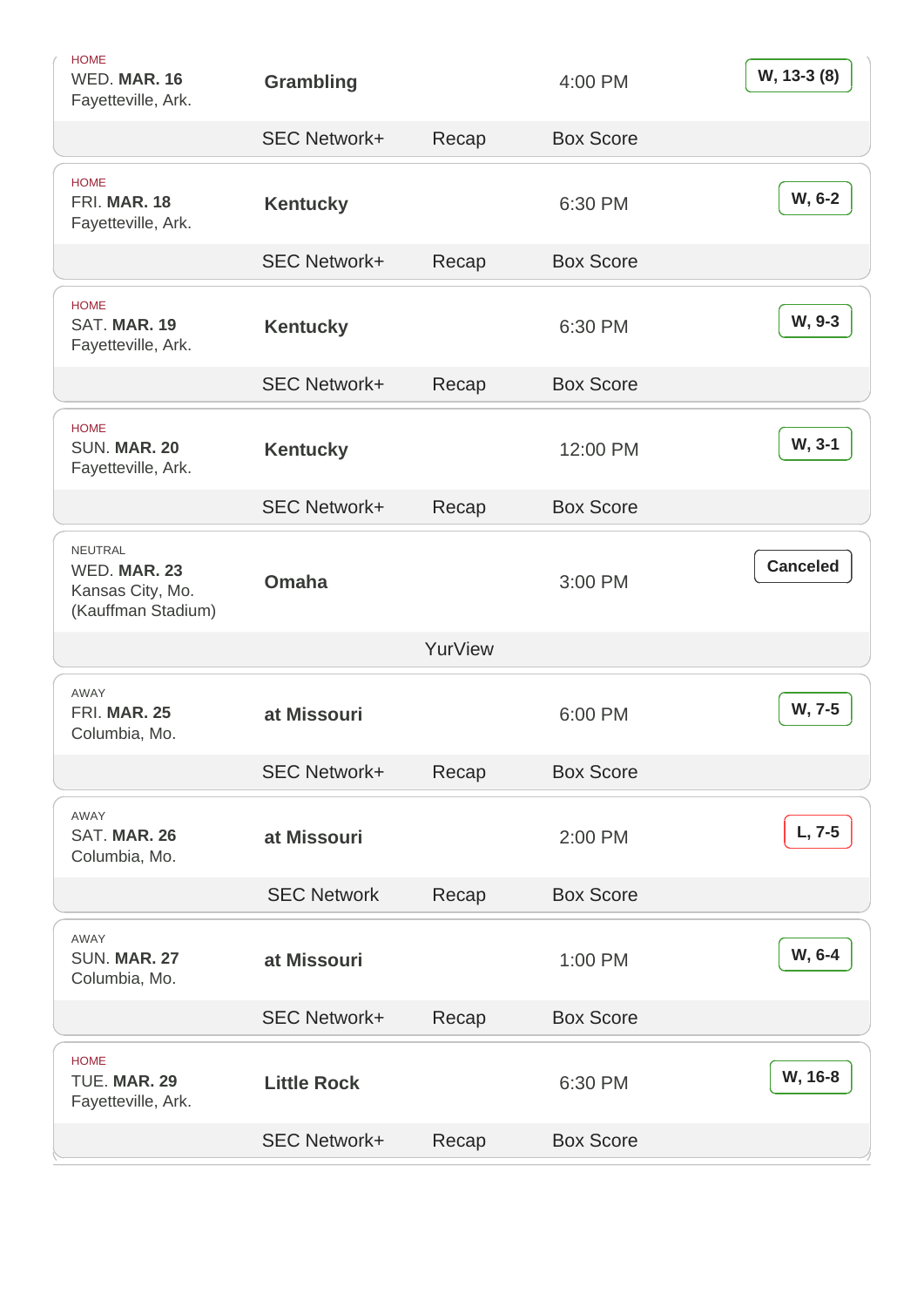| <b>HOME</b><br>WED. MAR. 16<br>Fayetteville, Ark. | Grambling           |         | 4:00 PM          | W, 13-3 (8) |
|---------------------------------------------------|---------------------|---------|------------------|-------------|
|                                                   | <b>SEC Network+</b> | Recap   | <b>Box Score</b> |             |
| <b>HOME</b><br>FRI. MAR. 18<br>Fayetteville, Ark. | Kentucky            |         | 6:30 PM          | W, 6-2      |
|                                                   | <b>SEC Network+</b> | Recap   | <b>Box Score</b> |             |
| <b>HOME</b><br>SAT. MAR. 19<br>Fayetteville, Ark. | Kentucky            |         | 6:30 PM          | W, 9-3      |
|                                                   | <b>SEC Network+</b> | Recap   | <b>Box Score</b> |             |
| <b>HOME</b><br>SUN. MAR. 20<br>Fayetteville, Ark. | Kentucky            |         | 12:00 PM         | W, 3-1      |
|                                                   | <b>SEC Network+</b> | Recap   | <b>Box Score</b> |             |
| <b>NEUTRAL</b><br>WED. MAR. 23                    | Omaha               |         | 3:00 PM          | Canceled    |
| Kansas City, Mo.<br>(Kauffman Stadium)            |                     |         |                  |             |
|                                                   |                     | YurView |                  |             |
| AWAY<br><b>FRI. MAR. 25</b><br>Columbia, Mo.      | at Missouri         |         | 6:00 PM          | W, 7-5      |
|                                                   | <b>SEC Network+</b> | Recap   | <b>Box Score</b> |             |
| <b>AWAY</b><br>SAT. MAR. 26<br>Columbia, Mo.      | at Missouri         |         | 2:00 PM          | $L, 7-5$    |
|                                                   | <b>SEC Network</b>  | Recap   | <b>Box Score</b> |             |
| AWAY<br><b>SUN. MAR. 27</b><br>Columbia, Mo.      | at Missouri         |         | 1:00 PM          | W, 6-4      |
|                                                   | <b>SEC Network+</b> | Recap   | <b>Box Score</b> |             |
| <b>HOME</b><br>TUE. MAR. 29<br>Fayetteville, Ark. | <b>Little Rock</b>  |         | 6:30 PM          | W, 16-8     |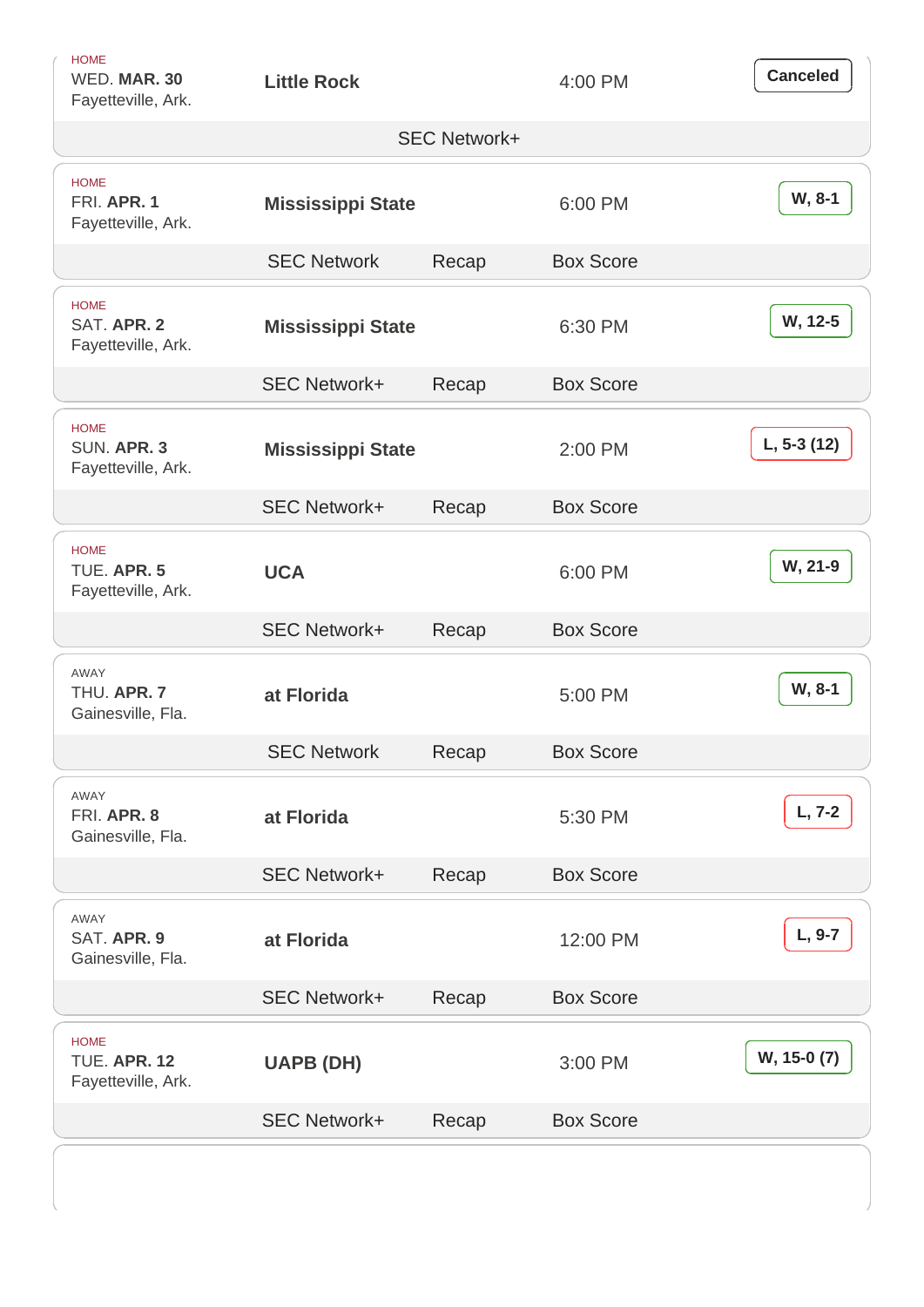| <b>HOME</b><br>WED. MAR. 30<br>Fayetteville, Ark.        | <b>Little Rock</b>  |                     | 4:00 PM          | Canceled     |
|----------------------------------------------------------|---------------------|---------------------|------------------|--------------|
|                                                          |                     | <b>SEC Network+</b> |                  |              |
| <b>HOME</b><br>FRI. APR. 1<br>Fayetteville, Ark.         | Mississippi State   |                     | 6:00 PM          | W, 8-1       |
|                                                          | <b>SEC Network</b>  | Recap               | <b>Box Score</b> |              |
| <b>HOME</b><br>SAT. APR. 2<br>Fayetteville, Ark.         | Mississippi State   |                     | 6:30 PM          | W, 12-5      |
|                                                          | <b>SEC Network+</b> | Recap               | <b>Box Score</b> |              |
| <b>HOME</b><br>SUN, APR. 3<br>Fayetteville, Ark.         | Mississippi State   |                     | 2:00 PM          | $L, 5-3(12)$ |
|                                                          | <b>SEC Network+</b> | Recap               | <b>Box Score</b> |              |
| <b>HOME</b><br>TUE. APR. 5<br>Fayetteville, Ark.         | <b>UCA</b>          |                     | 6:00 PM          | W, 21-9      |
|                                                          | <b>SEC Network+</b> | Recap               | <b>Box Score</b> |              |
| AWAY<br>THU. APR. 7<br>Gainesville, Fla.                 | at Florida          |                     | 5:00 PM          | W, 8-1       |
|                                                          | <b>SEC Network</b>  | Recap               | <b>Box Score</b> |              |
| <b>AWAY</b><br>FRI. APR. 8<br>Gainesville, Fla.          | at Florida          |                     | 5:30 PM          | $L, 7-2$     |
|                                                          | <b>SEC Network+</b> | Recap               | <b>Box Score</b> |              |
| AWAY<br>SAT. APR. 9<br>Gainesville, Fla.                 | at Florida          |                     | 12:00 PM         | L, 9-7       |
|                                                          | <b>SEC Network+</b> | Recap               | <b>Box Score</b> |              |
| <b>HOME</b><br><b>TUE. APR. 12</b><br>Fayetteville, Ark. | UAPB (DH)           |                     | 3:00 PM          | W, 15-0 (7)  |
|                                                          | <b>SEC Network+</b> | Recap               | <b>Box Score</b> |              |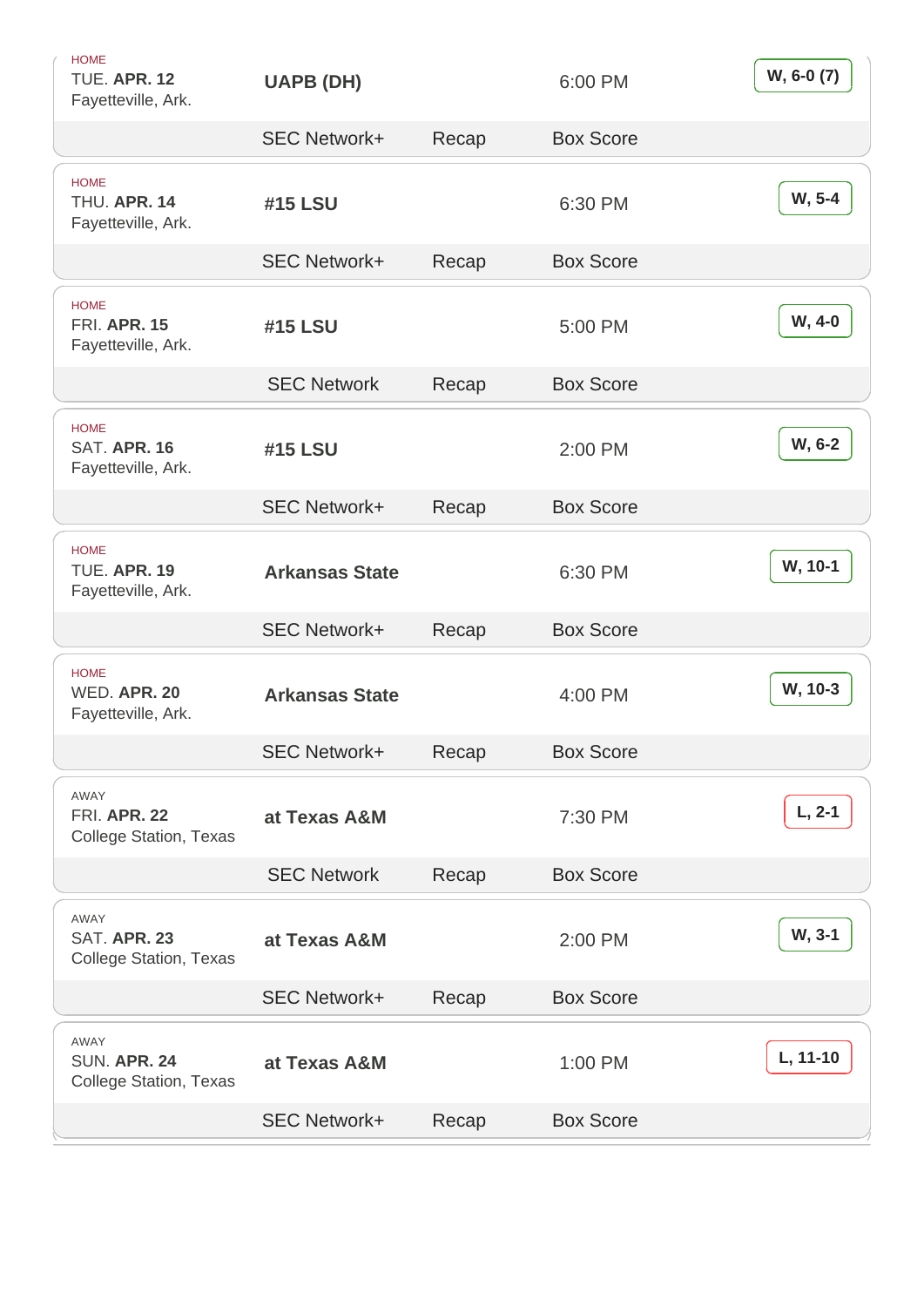| <b>HOME</b><br>TUE. APR. 12<br>Fayetteville, Ark.            | UAPB (DH)             |       | 6:00 PM          | W, 6-0 (7) |
|--------------------------------------------------------------|-----------------------|-------|------------------|------------|
|                                                              | <b>SEC Network+</b>   | Recap | <b>Box Score</b> |            |
| <b>HOME</b><br>THU. APR. 14<br>Fayetteville, Ark.            | #15 LSU               |       | 6:30 PM          | W, 5-4     |
|                                                              | <b>SEC Network+</b>   | Recap | <b>Box Score</b> |            |
| <b>HOME</b><br><b>FRI. APR. 15</b><br>Fayetteville, Ark.     | #15 LSU               |       | 5:00 PM          | W, 4-0     |
|                                                              | <b>SEC Network</b>    | Recap | <b>Box Score</b> |            |
| <b>HOME</b><br><b>SAT. APR. 16</b><br>Fayetteville, Ark.     | #15 LSU               |       | 2:00 PM          | W, 6-2     |
|                                                              | <b>SEC Network+</b>   | Recap | <b>Box Score</b> |            |
| <b>HOME</b><br><b>TUE. APR. 19</b><br>Fayetteville, Ark.     | <b>Arkansas State</b> |       | 6:30 PM          | W, 10-1    |
|                                                              | <b>SEC Network+</b>   | Recap | <b>Box Score</b> |            |
| <b>HOME</b><br>WED, APR, 20<br>Fayetteville, Ark.            | <b>Arkansas State</b> |       | 4:00 PM          | W, 10-3    |
|                                                              | <b>SEC Network+</b>   | Recap | <b>Box Score</b> |            |
| AWAY<br><b>FRI. APR. 22</b><br><b>College Station, Texas</b> | at Texas A&M          |       | 7:30 PM          | $L, 2-1$   |
|                                                              | <b>SEC Network</b>    | Recap | <b>Box Score</b> |            |
| AWAY<br>SAT. APR. 23<br><b>College Station, Texas</b>        | at Texas A&M          |       | 2:00 PM          | W, 3-1     |
|                                                              | <b>SEC Network+</b>   | Recap | <b>Box Score</b> |            |
| AWAY<br>SUN. APR. 24<br><b>College Station, Texas</b>        | at Texas A&M          |       | 1:00 PM          | L, 11-10   |
|                                                              |                       |       |                  |            |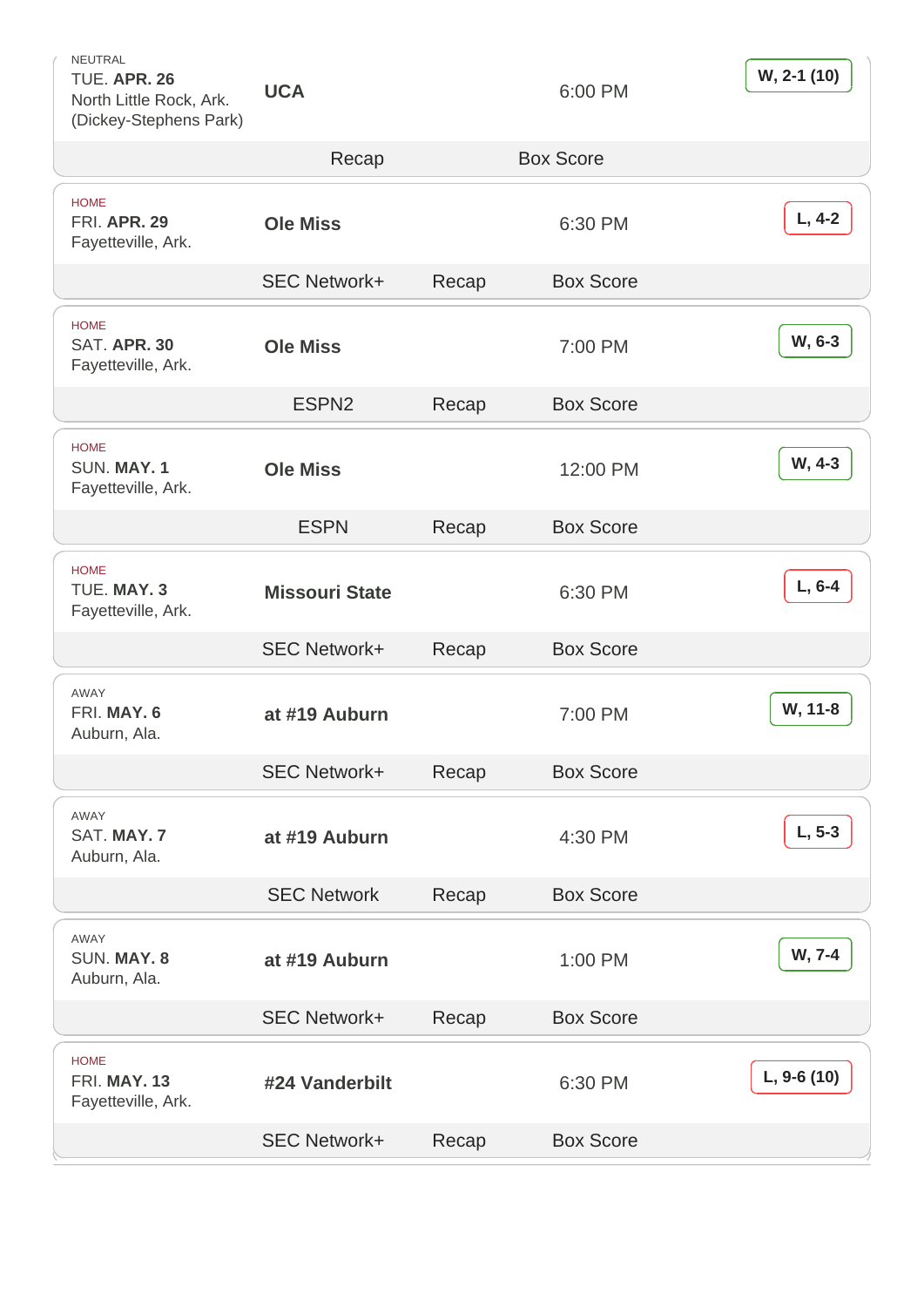NEUTRAL TUE. APR. 26 North Little Rock, Ark. (Dickey-Stephens Park)

UCA 6:00 PM

[W, 2-1 \(10\)](https://arkansasrazorbacks.com/stats/baseball/2022/ARK41.pdf)

|                                                          | Recap                 |       | <b>Box Score</b> |             |
|----------------------------------------------------------|-----------------------|-------|------------------|-------------|
| <b>HOME</b><br><b>FRI. APR. 29</b><br>Fayetteville, Ark. | <b>Ole Miss</b>       |       | 6:30 PM          | $L, 4-2$    |
|                                                          | <b>SEC Network+</b>   | Recap | <b>Box Score</b> |             |
| <b>HOME</b><br>SAT. APR. 30<br>Fayetteville, Ark.        | <b>Ole Miss</b>       |       | 7:00 PM          | W, 6-3      |
|                                                          | ESPN <sub>2</sub>     | Recap | <b>Box Score</b> |             |
| <b>HOME</b><br>SUN. MAY. 1<br>Fayetteville, Ark.         | <b>Ole Miss</b>       |       | 12:00 PM         | W, 4-3      |
|                                                          | <b>ESPN</b>           | Recap | <b>Box Score</b> |             |
| <b>HOME</b><br>TUE. MAY. 3<br>Fayetteville, Ark.         | <b>Missouri State</b> |       | 6:30 PM          | $L, 6-4$    |
|                                                          | <b>SEC Network+</b>   | Recap | <b>Box Score</b> |             |
| <b>AWAY</b><br>FRI. MAY. 6<br>Auburn, Ala.               | at #19 Auburn         |       | 7:00 PM          | W, 11-8     |
|                                                          | <b>SEC Network+</b>   | Recap | <b>Box Score</b> |             |
| AWAY<br>SAT. MAY. 7<br>Auburn, Ala.                      | at #19 Auburn         |       | 4:30 PM          | $L, 5-3$    |
|                                                          | <b>SEC Network</b>    | Recap | <b>Box Score</b> |             |
| <b>AWAY</b><br>SUN, MAY, 8<br>Auburn, Ala.               | at #19 Auburn         |       | 1:00 PM          | W, 7-4      |
|                                                          | <b>SEC Network+</b>   | Recap | <b>Box Score</b> |             |
| <b>HOME</b><br>FRI. MAY. 13<br>Fayetteville, Ark.        | #24 Vanderbilt        |       | 6:30 PM          | L, 9-6 (10) |
|                                                          | <b>SEC Network+</b>   | Recap | <b>Box Score</b> |             |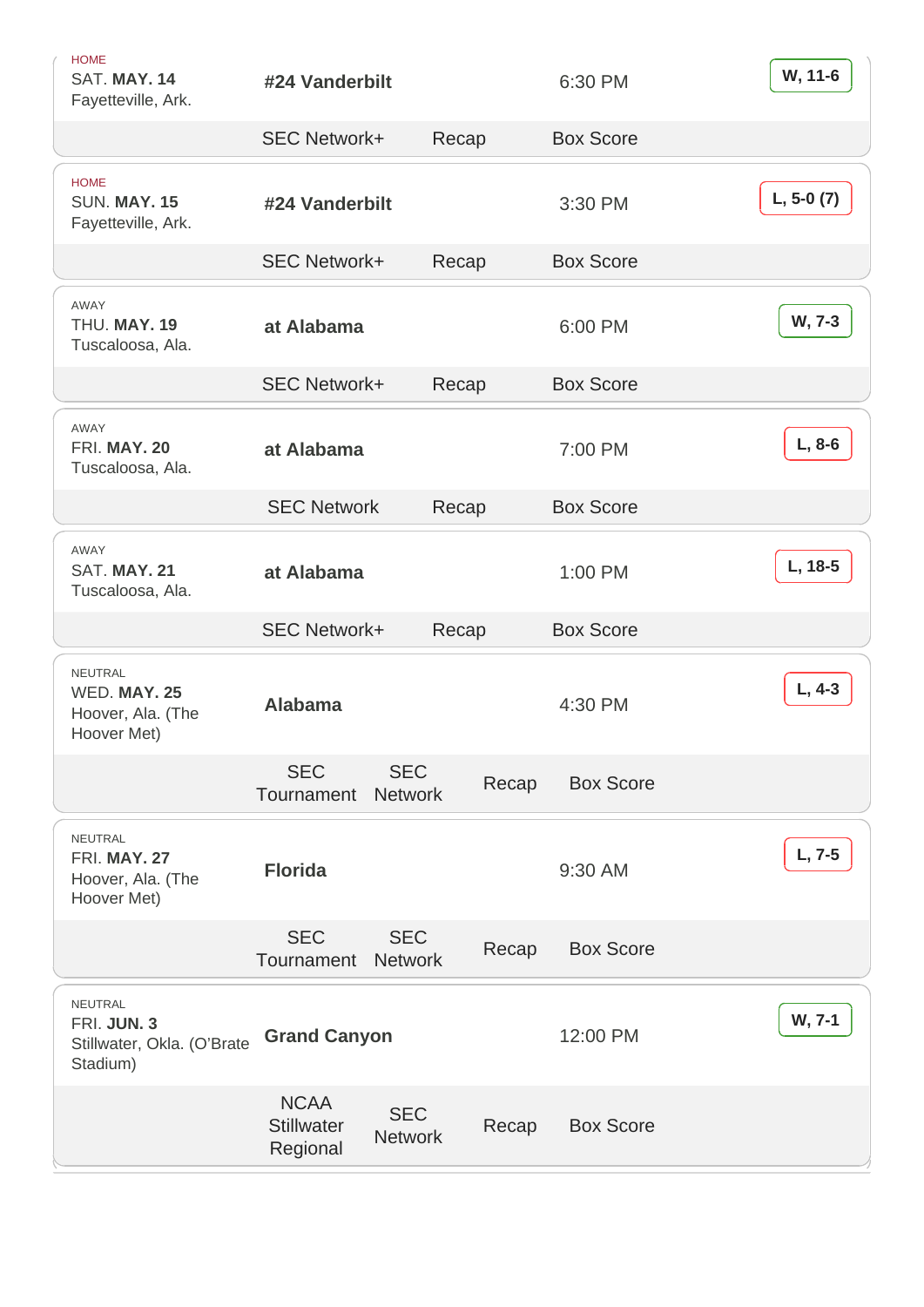| <b>HOME</b><br>SAT. MAY. 14<br>Fayetteville, Ark.                | #24 Vanderbilt           |                              |       | 6:30 PM          | W, 11-6      |
|------------------------------------------------------------------|--------------------------|------------------------------|-------|------------------|--------------|
|                                                                  | <b>SEC Network+</b>      | Recap                        |       | <b>Box Score</b> |              |
| <b>HOME</b><br><b>SUN. MAY. 15</b><br>Fayetteville, Ark.         | #24 Vanderbilt           |                              |       | 3:30 PM          | $L, 5-0 (7)$ |
|                                                                  | <b>SEC Network+</b>      | Recap                        |       | <b>Box Score</b> |              |
| <b>AWAY</b><br>THU, MAY, 19<br>Tuscaloosa, Ala.                  | at Alabama               |                              |       | 6:00 PM          | W, 7-3       |
|                                                                  | <b>SEC Network+</b>      | Recap                        |       | <b>Box Score</b> |              |
| <b>AWAY</b><br>FRI. MAY. 20<br>Tuscaloosa, Ala.                  | at Alabama               |                              |       | 7:00 PM          | $L, 8-6$     |
|                                                                  | <b>SEC Network</b>       | Recap                        |       | <b>Box Score</b> |              |
| <b>AWAY</b><br>SAT. MAY. 21<br>Tuscaloosa, Ala.                  | at Alabama               |                              |       | 1:00 PM          | L, 18-5      |
|                                                                  | <b>SEC Network+</b>      | Recap                        |       | <b>Box Score</b> |              |
| NEUTRAL<br>WED. MAY. 25<br>Hoover, Ala. (The<br>Hoover Met)      | Alabama                  |                              |       | 4:30 PM          | $L, 4-3$     |
|                                                                  | <b>SEC</b><br>Tournament | <b>SEC</b><br><b>Network</b> | Recap | <b>Box Score</b> |              |
| NEUTRAL<br>FRI. MAY. 27<br>Hoover, Ala. (The<br>Hoover Met)      | Florida                  |                              |       | 9:30 AM          | $L, 7-5$     |
|                                                                  | <b>SEC</b><br>Tournament | <b>SEC</b><br><b>Network</b> | Recap | <b>Box Score</b> |              |
| NEUTRAL<br>FRI. JUN. 3<br>Stillwater, Okla. (O'Brate<br>Stadium) | <b>Grand Canyon</b>      |                              |       | 12:00 PM         | W, 7-1       |
|                                                                  | <b>NCAA</b>              | <b>SEC</b>                   |       |                  |              |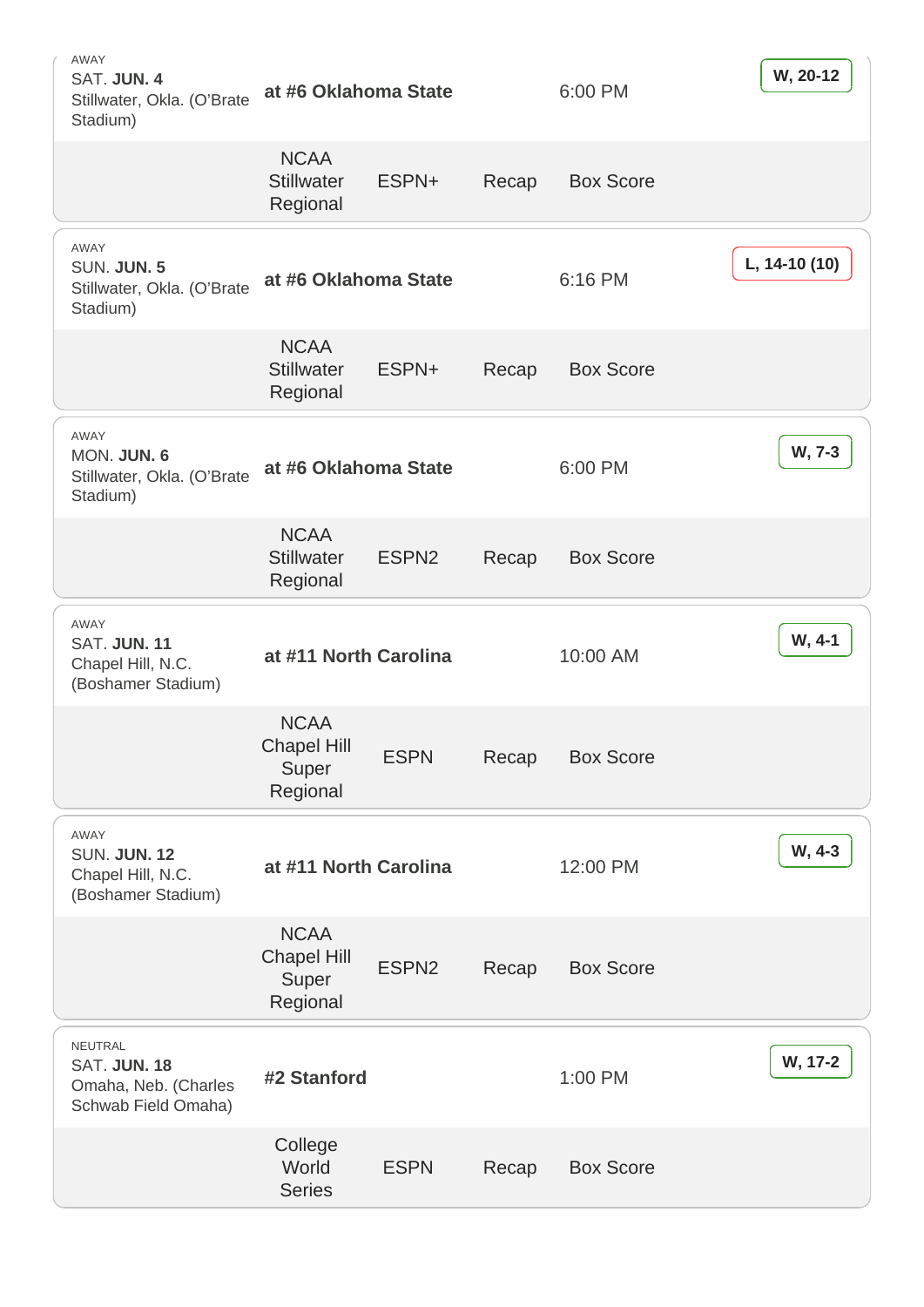| AWAY<br>SAT. JUN. 4<br>Stillwater, Okla. (O'Brate<br>Stadium)                 | at #6 Oklahoma State                                   |                   |       | 6:00 PM          | W, 20-12      |
|-------------------------------------------------------------------------------|--------------------------------------------------------|-------------------|-------|------------------|---------------|
|                                                                               | <b>NCAA</b><br><b>Stillwater</b><br>Regional           | ESPN+             | Recap | <b>Box Score</b> |               |
| <b>AWAY</b><br>SUN. JUN. 5<br>Stillwater, Okla. (O'Brate<br>Stadium)          | at #6 Oklahoma State                                   |                   |       | 6:16 PM          | L, 14-10 (10) |
|                                                                               | <b>NCAA</b><br><b>Stillwater</b><br>Regional           | ESPN+             | Recap | <b>Box Score</b> |               |
| <b>AWAY</b><br>MON. JUN. 6<br>Stillwater, Okla. (O'Brate<br>Stadium)          | at #6 Oklahoma State                                   |                   |       | 6:00 PM          | W, 7-3        |
|                                                                               | <b>NCAA</b><br><b>Stillwater</b><br>Regional           | ESPN <sub>2</sub> | Recap | <b>Box Score</b> |               |
| AWAY<br>SAT. JUN. 11<br>Chapel Hill, N.C.<br>(Boshamer Stadium)               | at #11 North Carolina                                  |                   |       | 10:00 AM         | W, 4-1        |
|                                                                               | <b>NCAA</b><br><b>Chapel Hill</b><br>Super<br>Regional | <b>ESPN</b>       | Recap | <b>Box Score</b> |               |
| <b>AWAY</b><br><b>SUN. JUN. 12</b><br>Chapel Hill, N.C.<br>(Boshamer Stadium) | at #11 North Carolina                                  |                   |       | 12:00 PM         | W, 4-3        |
|                                                                               | <b>NCAA</b><br><b>Chapel Hill</b><br>Super<br>Regional | ESPN <sub>2</sub> | Recap | <b>Box Score</b> |               |
| NEUTRAL<br>SAT. JUN. 18<br>Omaha, Neb. (Charles<br>Schwab Field Omaha)        | #2 Stanford                                            |                   |       | 1:00 PM          | W, 17-2       |
|                                                                               | College<br>World<br><b>Series</b>                      | <b>ESPN</b>       | Recap | <b>Box Score</b> |               |